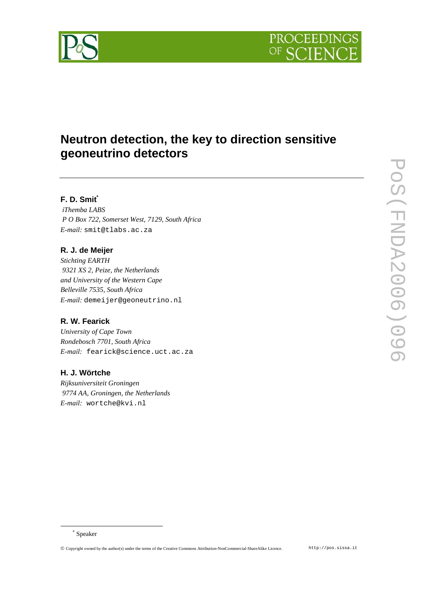

# **Neutron detection, the key to direction sensitive geoneutrino detectors**

# **F. D. Smit \***

*iThemba LABS P O Box 722, Somerset West, 7129, South Africa E-mail:* smit@tlabs.ac.za

## **R. J. de Meijer**

*Stichting EARTH 9321 XS 2, Peize, the Netherlands and University of the Western Cape Belleville 7535, South Africa E-mail:* demeijer@geoneutrino.nl

# **R. W. Fearick**

*University of Cape Town Rondebosch 7701, South Africa E-mail:* fearick@science.uct.ac.za

### **H. J. Wörtche**

*Rijksuniversiteit Groningen 9774 AA, Groningen, the Netherlands E-mail:* wortche@kvi.nl

<sup>\*</sup> Speaker

Copyright owned by the author(s) under the terms of the Creative Commons Attribution-NonCommercial-ShareAlike Licence. http://pos.sissa.it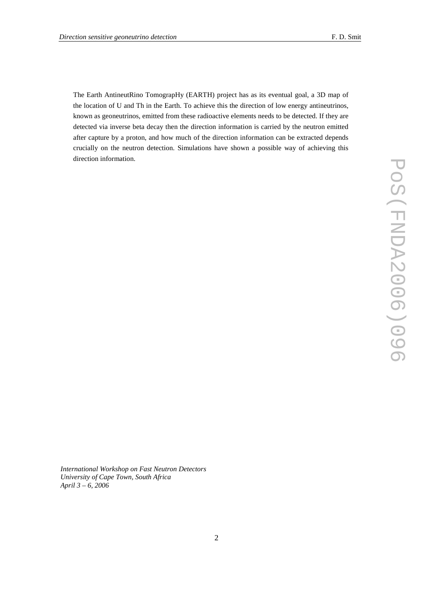The Earth AntineutRino TomograpHy (EARTH) project has as its eventual goal, a 3D map of the location of U and Th in the Earth. To achieve this the direction of low energy antineutrinos, known as geoneutrinos, emitted from these radioactive elements needs to be detected. If they are detected via inverse beta decay then the direction information is carried by the neutron emitted after capture by a proton, and how much of the direction information can be extracted depends crucially on the neutron detection. Simulations have shown a possible way of achieving this direction information.

*International Workshop on Fast Neutron Detectors University of Cape Town, South Africa April 3 – 6, 2006*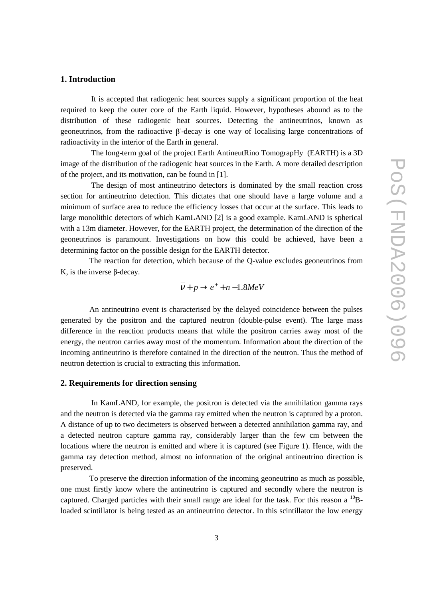#### **1. Introduction**

It is accepted that radiogenic heat sources supply a significant proportion of the heat required to keep the outer core of the Earth liquid. However, hypotheses abound as to the distribution of these radiogenic heat sources. Detecting the antineutrinos, known as geoneutrinos, from the radioactive  $\beta$ -decay is one way of localising large concentrations of radioactivity in the interior of the Earth in general.

The long-term goal of the project Earth AntineutRino TomograpHy (EARTH) is a 3D image of the distribution of the radiogenic heat sources in the Earth. A more detailed description of the project, and its motivation, can be found in [1].

The design of most antineutrino detectors is dominated by the small reaction cross section for antineutrino detection. This dictates that one should have a large volume and a minimum of surface area to reduce the efficiency losses that occur at the surface. This leads to large monolithic detectors of which KamLAND [2] is a good example. KamLAND is spherical with a 13m diameter. However, for the EARTH project, the determination of the direction of the geoneutrinos is paramount. Investigations on how this could be achieved, have been a determining factor on the possible design for the EARTH detector.

The reaction for detection, which because of the Q-value excludes geoneutrinos from K, is the inverse  $\beta$ -decay.

$$
v + p \rightarrow e^{+} + n - 1.8 MeV
$$

An antineutrino event is characterised by the delayed coincidence between the pulses generated by the positron and the captured neutron (double-pulse event). The large mass difference in the reaction products means that while the positron carries away most of the energy, the neutron carries away most of the momentum. Information about the direction of the incoming antineutrino is therefore contained in the direction of the neutron. Thus the method of neutron detection is crucial to extracting this information.

#### **2. Requirements for direction sensing**

In KamLAND, for example, the positron is detected via the annihilation gamma rays and the neutron is detected via the gamma ray emitted when the neutron is captured by a proton. A distance of up to two decimeters is observed between a detected annihilation gamma ray, and a detected neutron capture gamma ray, considerably larger than the few cm between the locations where the neutron is emitted and where it is captured (see Figure 1). Hence, with the gamma ray detection method, almost no information of the original antineutrino direction is preserved.

To preserve the direction information of the incoming geoneutrino as much as possible, one must firstly know where the antineutrino is captured and secondly where the neutron is captured. Charged particles with their small range are ideal for the task. For this reason a  $^{10}$ Bloaded scintillator is being tested as an antineutrino detector. In this scintillator the low energy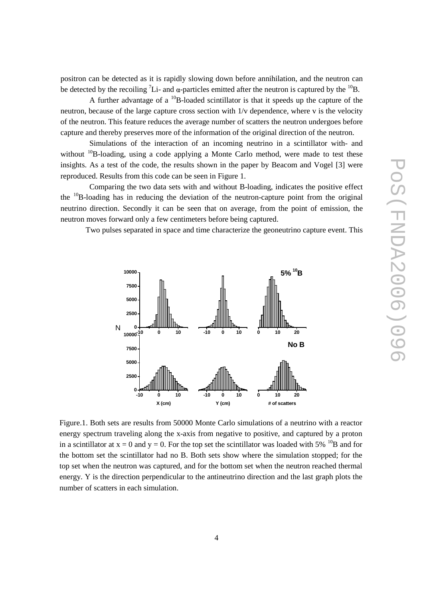positron can be detected as it is rapidly slowing down before annihilation, and the neutron can be detected by the recoiling <sup>7</sup>Li- and  $\alpha$ -particles emitted after the neutron is captured by the <sup>10</sup>B.

A further advantage of a  $^{10}B$ -loaded scintillator is that it speeds up the capture of the neutron, because of the large capture cross section with 1/v dependence, where v is the velocity of the neutron. This feature reduces the average number of scatters the neutron undergoes before capture and thereby preserves more of the information of the original direction of the neutron.

Simulations of the interaction of an incoming neutrino in a scintillator with- and without  $^{10}$ B-loading, using a code applying a Monte Carlo method, were made to test these insights. As a test of the code, the results shown in the paper by Beacom and Vogel [3] were reproduced. Results from this code can be seen in Figure 1.

Comparing the two data sets with and without B-loading, indicates the positive effect the <sup>10</sup>B-loading has in reducing the deviation of the neutron-capture point from the original neutrino direction. Secondly it can be seen that on average, from the point of emission, the neutron moves forward only a few centimeters before being captured.

Two pulses separated in space and time characterize the geoneutrino capture event. This



Figure.1. Both sets are results from 50000 Monte Carlo simulations of a neutrino with a reactor energy spectrum traveling along the x-axis from negative to positive, and captured by a proton in a scintillator at  $x = 0$  and  $y = 0$ . For the top set the scintillator was loaded with 5% <sup>10</sup>B and for the bottom set the scintillator had no B. Both sets show where the simulation stopped; for the top set when the neutron was captured, and for the bottom set when the neutron reached thermal energy. Y is the direction perpendicular to the antineutrino direction and the last graph plots the number of scatters in each simulation.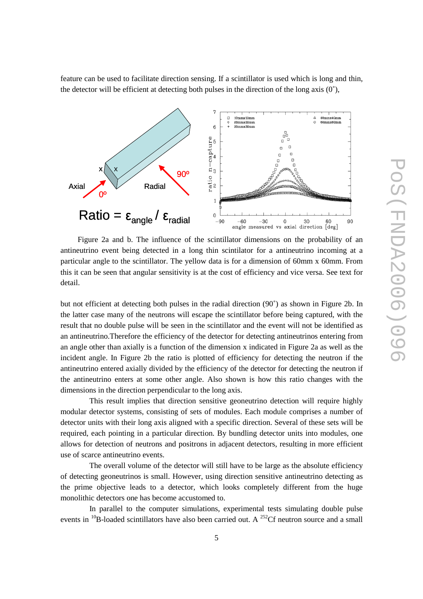feature can be used to facilitate direction sensing. If a scintillator is used which is long and thin, the detector will be efficient at detecting both pulses in the direction of the long axis  $(0^{\circ})$ ,



Figure 2a and b. The influence of the scintillator dimensions on the probability of an antineutrino event being detected in a long thin scintilator for a antineutrino incoming at a particular angle to the scintillator. The yellow data is for a dimension of 60mm x 60mm. From this it can be seen that angular sensitivity is at the cost of efficiency and vice versa. See text for detail.

but not efficient at detecting both pulses in the radial direction (90˚) as shown in Figure 2b. In the latter case many of the neutrons will escape the scintillator before being captured, with the result that no double pulse will be seen in the scintillator and the event will not be identified as an antineutrino.Therefore the efficiency of the detector for detecting antineutrinos entering from an angle other than axially is a function of the dimension x indicated in Figure 2a as well as the incident angle. In Figure 2b the ratio is plotted of efficiency for detecting the neutron if the antineutrino entered axially divided by the efficiency of the detector for detecting the neutron if the antineutrino enters at some other angle. Also shown is how this ratio changes with the dimensions in the direction perpendicular to the long axis.

This result implies that direction sensitive geoneutrino detection will require highly modular detector systems, consisting of sets of modules. Each module comprises a number of detector units with their long axis aligned with a specific direction. Several of these sets will be required, each pointing in a particular direction. By bundling detector units into modules, one allows for detection of neutrons and positrons in adjacent detectors, resulting in more efficient use of scarce antineutrino events.

The overall volume of the detector will still have to be large as the absolute efficiency of detecting geoneutrinos is small. However, using direction sensitive antineutrino detecting as the prime objective leads to a detector, which looks completely different from the huge monolithic detectors one has become accustomed to.

In parallel to the computer simulations, experimental tests simulating double pulse events in  $^{10}$ B-loaded scintillators have also been carried out. A  $^{252}$ Cf neutron source and a small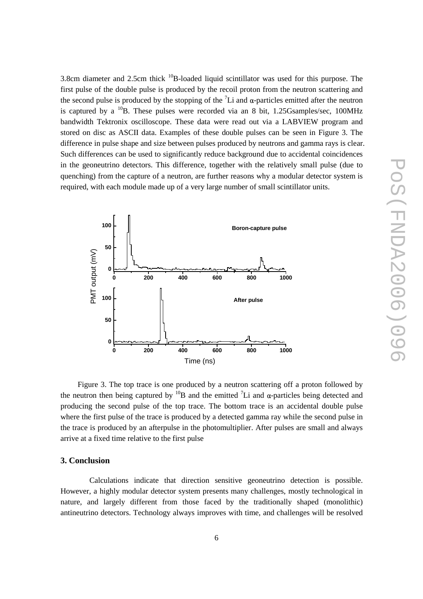3.8cm diameter and 2.5cm thick  $^{10}B$ -loaded liquid scintillator was used for this purpose. The first pulse of the double pulse is produced by the recoil proton from the neutron scattering and the second pulse is produced by the stopping of the  ${}^{7}Li$  and  $\alpha$ -particles emitted after the neutron is captured by a  $^{10}B$ . These pulses were recorded via an 8 bit, 1.25Gsamples/sec, 100MHz bandwidth Tektronix oscilloscope. These data were read out via a LABVIEW program and stored on disc as ASCII data. Examples of these double pulses can be seen in Figure 3. The difference in pulse shape and size between pulses produced by neutrons and gamma rays is clear. Such differences can be used to significantly reduce background due to accidental coincidences in the geoneutrino detectors. This difference, together with the relatively small pulse (due to quenching) from the capture of a neutron, are further reasons why a modular detector system is required, with each module made up of a very large number of small scintillator units.



Figure 3. The top trace is one produced by a neutron scattering off a proton followed by the neutron then being captured by  $^{10}B$  and the emitted  $^{7}Li$  and  $\alpha$ -particles being detected and producing the second pulse of the top trace. The bottom trace is an accidental double pulse where the first pulse of the trace is produced by a detected gamma ray while the second pulse in the trace is produced by an afterpulse in the photomultiplier. After pulses are small and always arrive at a fixed time relative to the first pulse

### **3. Conclusion**

Calculations indicate that direction sensitive geoneutrino detection is possible. However, a highly modular detector system presents many challenges, mostly technological in nature, and largely different from those faced by the traditionally shaped (monolithic) antineutrino detectors. Technology always improves with time, and challenges will be resolved